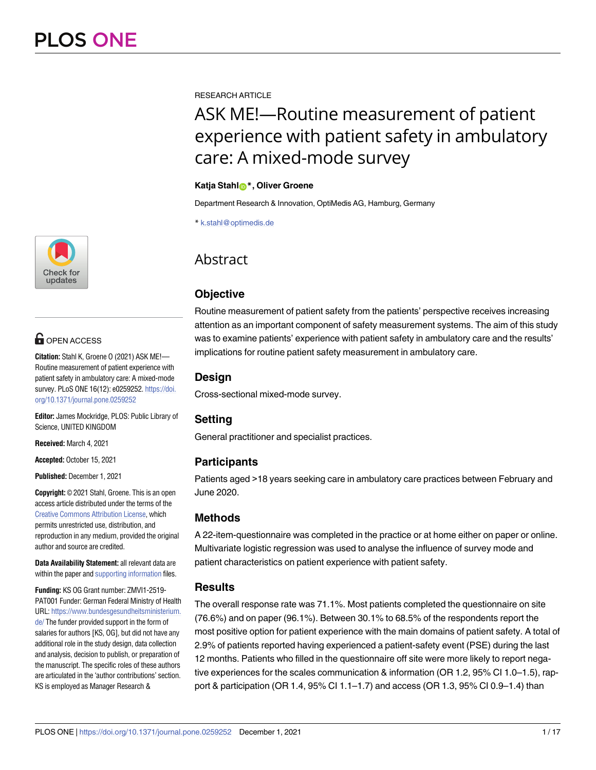

# **OPEN ACCESS**

**Citation:** Stahl K, Groene O (2021) ASK ME!— Routine measurement of patient experience with patient safety in ambulatory care: A mixed-mode survey. PLoS ONE 16(12): e0259252. [https://doi.](https://doi.org/10.1371/journal.pone.0259252) [org/10.1371/journal.pone.0259252](https://doi.org/10.1371/journal.pone.0259252)

**Editor:** James Mockridge, PLOS: Public Library of Science, UNITED KINGDOM

**Received:** March 4, 2021

**Accepted:** October 15, 2021

**Published:** December 1, 2021

**Copyright:** © 2021 Stahl, Groene. This is an open access article distributed under the terms of the Creative Commons [Attribution](http://creativecommons.org/licenses/by/4.0/) License, which permits unrestricted use, distribution, and reproduction in any medium, provided the original author and source are credited.

**Data Availability Statement:** all relevant data are within the paper and supporting [information](#page-12-0) files.

**Funding:** KS OG Grant number: ZMVI1-2519- PAT001 Funder: German Federal Ministry of Health URL: [https://www.bundesgesundheitsministerium.](https://www.bundesgesundheitsministerium.de/) [de/](https://www.bundesgesundheitsministerium.de/) The funder provided support in the form of salaries for authors [KS, OG], but did not have any additional role in the study design, data collection and analysis, decision to publish, or preparation of the manuscript. The specific roles of these authors are articulated in the 'author contributions' section. KS is employed as Manager Research &

RESEARCH ARTICLE

# ASK ME!—Routine measurement of patient experience with patient safety in ambulatory care: A mixed-mode survey

### **Katja Stahl[ID](https://orcid.org/0000-0001-5696-9513)\*, Oliver Groene**

Department Research & Innovation, OptiMedis AG, Hamburg, Germany

\* k.stahl@optimedis.de

# **Abstract**

# **Objective**

Routine measurement of patient safety from the patients' perspective receives increasing attention as an important component of safety measurement systems. The aim of this study was to examine patients' experience with patient safety in ambulatory care and the results' implications for routine patient safety measurement in ambulatory care.

# **Design**

Cross-sectional mixed-mode survey.

# **Setting**

General practitioner and specialist practices.

# **Participants**

Patients aged >18 years seeking care in ambulatory care practices between February and June 2020.

# **Methods**

A 22-item-questionnaire was completed in the practice or at home either on paper or online. Multivariate logistic regression was used to analyse the influence of survey mode and patient characteristics on patient experience with patient safety.

# **Results**

The overall response rate was 71.1%. Most patients completed the questionnaire on site (76.6%) and on paper (96.1%). Between 30.1% to 68.5% of the respondents report the most positive option for patient experience with the main domains of patient safety. A total of 2.9% of patients reported having experienced a patient-safety event (PSE) during the last 12 months. Patients who filled in the questionnaire off site were more likely to report negative experiences for the scales communication & information (OR 1.2, 95% CI 1.0–1.5), rapport & participation (OR 1.4, 95% CI 1.1–1.7) and access (OR 1.3, 95% CI 0.9–1.4) than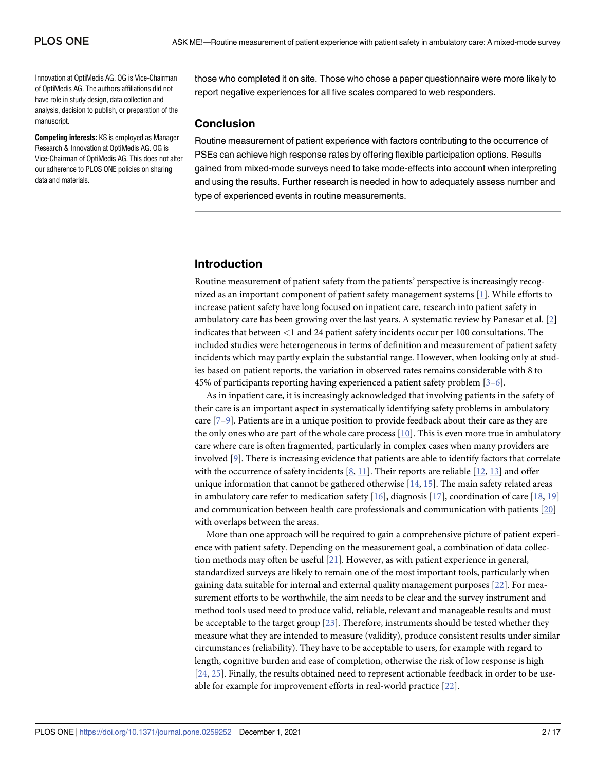<span id="page-1-0"></span>Innovation at OptiMedis AG. OG is Vice-Chairman of OptiMedis AG. The authors affiliations did not have role in study design, data collection and analysis, decision to publish, or preparation of the manuscript.

**Competing interests:** KS is employed as Manager Research & Innovation at OptiMedis AG. OG is Vice-Chairman of OptiMedis AG. This does not alter our adherence to PLOS ONE policies on sharing data and materials.

those who completed it on site. Those who chose a paper questionnaire were more likely to report negative experiences for all five scales compared to web responders.

# **Conclusion**

Routine measurement of patient experience with factors contributing to the occurrence of PSEs can achieve high response rates by offering flexible participation options. Results gained from mixed-mode surveys need to take mode-effects into account when interpreting and using the results. Further research is needed in how to adequately assess number and type of experienced events in routine measurements.

# **Introduction**

Routine measurement of patient safety from the patients' perspective is increasingly recognized as an important component of patient safety management systems [[1\]](#page-13-0). While efforts to increase patient safety have long focused on inpatient care, research into patient safety in ambulatory care has been growing over the last years. A systematic review by Panesar et al. [\[2](#page-13-0)] indicates that between *<*1 and 24 patient safety incidents occur per 100 consultations. The included studies were heterogeneous in terms of definition and measurement of patient safety incidents which may partly explain the substantial range. However, when looking only at studies based on patient reports, the variation in observed rates remains considerable with 8 to 45% of participants reporting having experienced a patient safety problem [\[3–6\]](#page-13-0).

As in inpatient care, it is increasingly acknowledged that involving patients in the safety of their care is an important aspect in systematically identifying safety problems in ambulatory care [\[7–9\]](#page-13-0). Patients are in a unique position to provide feedback about their care as they are the only ones who are part of the whole care process [[10](#page-14-0)]. This is even more true in ambulatory care where care is often fragmented, particularly in complex cases when many providers are involved [[9\]](#page-13-0). There is increasing evidence that patients are able to identify factors that correlate with the occurrence of safety incidents  $[8, 11]$  $[8, 11]$  $[8, 11]$  $[8, 11]$  $[8, 11]$ . Their reports are reliable  $[12, 13]$  $[12, 13]$  $[12, 13]$  and offer unique information that cannot be gathered otherwise [\[14,](#page-14-0) [15\]](#page-14-0). The main safety related areas in ambulatory care refer to medication safety [\[16\]](#page-14-0), diagnosis [\[17\]](#page-14-0), coordination of care [\[18,](#page-14-0) [19\]](#page-14-0) and communication between health care professionals and communication with patients [[20](#page-14-0)] with overlaps between the areas.

More than one approach will be required to gain a comprehensive picture of patient experience with patient safety. Depending on the measurement goal, a combination of data collection methods may often be useful [\[21\]](#page-14-0). However, as with patient experience in general, standardized surveys are likely to remain one of the most important tools, particularly when gaining data suitable for internal and external quality management purposes [[22](#page-14-0)]. For measurement efforts to be worthwhile, the aim needs to be clear and the survey instrument and method tools used need to produce valid, reliable, relevant and manageable results and must be acceptable to the target group [[23](#page-14-0)]. Therefore, instruments should be tested whether they measure what they are intended to measure (validity), produce consistent results under similar circumstances (reliability). They have to be acceptable to users, for example with regard to length, cognitive burden and ease of completion, otherwise the risk of low response is high [\[24,](#page-14-0) [25\]](#page-14-0). Finally, the results obtained need to represent actionable feedback in order to be useable for example for improvement efforts in real-world practice [\[22\]](#page-14-0).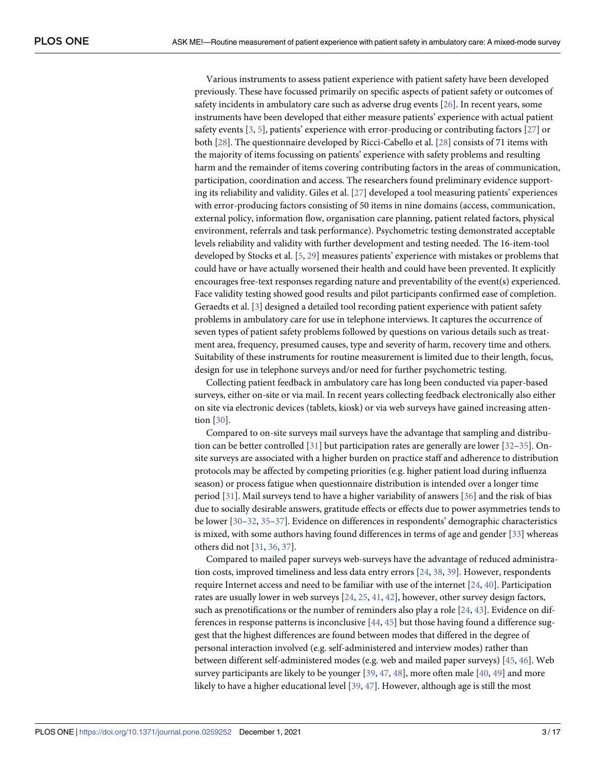<span id="page-2-0"></span>Various instruments to assess patient experience with patient safety have been developed previously. These have focussed primarily on specific aspects of patient safety or outcomes of safety incidents in ambulatory care such as adverse drug events [[26](#page-14-0)]. In recent years, some instruments have been developed that either measure patients' experience with actual patient safety events  $[3, 5]$  $[3, 5]$  $[3, 5]$  $[3, 5]$  $[3, 5]$ , patients' experience with error-producing or contributing factors  $[27]$  $[27]$  $[27]$  or both [\[28\]](#page-14-0). The questionnaire developed by Ricci-Cabello et al. [[28](#page-14-0)] consists of 71 items with the majority of items focussing on patients' experience with safety problems and resulting harm and the remainder of items covering contributing factors in the areas of communication, participation, coordination and access. The researchers found preliminary evidence supporting its reliability and validity. Giles et al. [\[27\]](#page-14-0) developed a tool measuring patients' experiences with error-producing factors consisting of 50 items in nine domains (access, communication, external policy, information flow, organisation care planning, patient related factors, physical environment, referrals and task performance). Psychometric testing demonstrated acceptable levels reliability and validity with further development and testing needed. The 16-item-tool developed by Stocks et al. [\[5](#page-13-0), [29](#page-14-0)] measures patients' experience with mistakes or problems that could have or have actually worsened their health and could have been prevented. It explicitly encourages free-text responses regarding nature and preventability of the event(s) experienced. Face validity testing showed good results and pilot participants confirmed ease of completion. Geraedts et al. [[3\]](#page-13-0) designed a detailed tool recording patient experience with patient safety problems in ambulatory care for use in telephone interviews. It captures the occurrence of seven types of patient safety problems followed by questions on various details such as treatment area, frequency, presumed causes, type and severity of harm, recovery time and others. Suitability of these instruments for routine measurement is limited due to their length, focus, design for use in telephone surveys and/or need for further psychometric testing.

Collecting patient feedback in ambulatory care has long been conducted via paper-based surveys, either on-site or via mail. In recent years collecting feedback electronically also either on site via electronic devices (tablets, kiosk) or via web surveys have gained increasing attention [[30](#page-15-0)].

Compared to on-site surveys mail surveys have the advantage that sampling and distribution can be better controlled [\[31\]](#page-15-0) but participation rates are generally are lower [[32](#page-15-0)–[35\]](#page-15-0). Onsite surveys are associated with a higher burden on practice staff and adherence to distribution protocols may be affected by competing priorities (e.g. higher patient load during influenza season) or process fatigue when questionnaire distribution is intended over a longer time period [[31](#page-15-0)]. Mail surveys tend to have a higher variability of answers [[36](#page-15-0)] and the risk of bias due to socially desirable answers, gratitude effects or effects due to power asymmetries tends to be lower [\[30–32,](#page-15-0) [35–37](#page-15-0)]. Evidence on differences in respondents' demographic characteristics is mixed, with some authors having found differences in terms of age and gender [\[33\]](#page-15-0) whereas others did not [[31](#page-15-0), [36](#page-15-0), [37](#page-15-0)].

Compared to mailed paper surveys web-surveys have the advantage of reduced administration costs, improved timeliness and less data entry errors [\[24,](#page-14-0) [38,](#page-15-0) [39\]](#page-15-0). However, respondents require Internet access and need to be familiar with use of the internet [[24](#page-14-0), [40](#page-15-0)]. Participation rates are usually lower in web surveys [\[24,](#page-14-0) [25,](#page-14-0) [41,](#page-15-0) [42\]](#page-15-0), however, other survey design factors, such as prenotifications or the number of reminders also play a role  $[24, 43]$  $[24, 43]$  $[24, 43]$  $[24, 43]$  $[24, 43]$ . Evidence on differences in response patterns is inconclusive [\[44,](#page-15-0) [45\]](#page-15-0) but those having found a difference suggest that the highest differences are found between modes that differed in the degree of personal interaction involved (e.g. self-administered and interview modes) rather than between different self-administered modes (e.g. web and mailed paper surveys) [\[45,](#page-15-0) [46\]](#page-15-0). Web survey participants are likely to be younger  $[39, 47, 48]$  $[39, 47, 48]$  $[39, 47, 48]$  $[39, 47, 48]$  $[39, 47, 48]$ , more often male  $[40, 49]$  $[40, 49]$  $[40, 49]$  and more likely to have a higher educational level [\[39,](#page-15-0) [47\]](#page-15-0). However, although age is still the most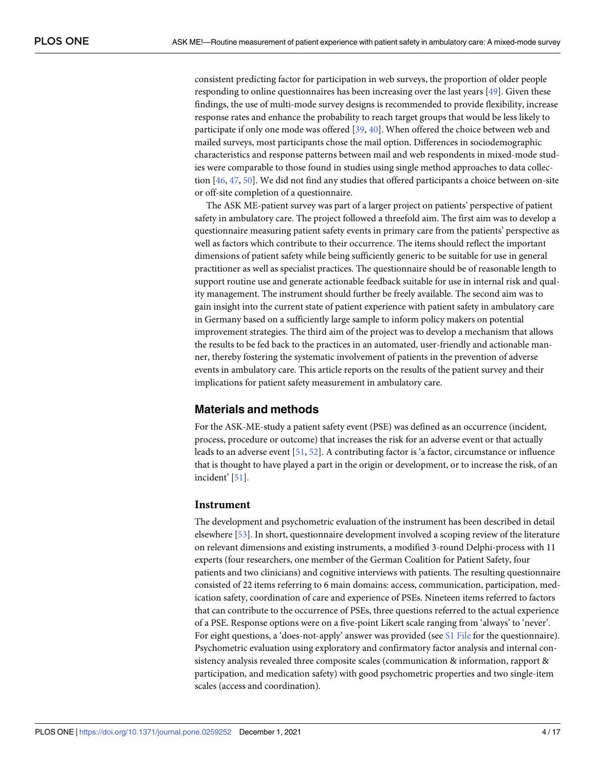<span id="page-3-0"></span>consistent predicting factor for participation in web surveys, the proportion of older people responding to online questionnaires has been increasing over the last years [\[49\]](#page-15-0). Given these findings, the use of multi-mode survey designs is recommended to provide flexibility, increase response rates and enhance the probability to reach target groups that would be less likely to participate if only one mode was offered [\[39,](#page-15-0) [40\]](#page-15-0). When offered the choice between web and mailed surveys, most participants chose the mail option. Differences in sociodemographic characteristics and response patterns between mail and web respondents in mixed-mode studies were comparable to those found in studies using single method approaches to data collection [[46](#page-15-0), [47](#page-15-0), [50](#page-16-0)]. We did not find any studies that offered participants a choice between on-site or off-site completion of a questionnaire.

The ASK ME-patient survey was part of a larger project on patients' perspective of patient safety in ambulatory care. The project followed a threefold aim. The first aim was to develop a questionnaire measuring patient safety events in primary care from the patients' perspective as well as factors which contribute to their occurrence. The items should reflect the important dimensions of patient safety while being sufficiently generic to be suitable for use in general practitioner as well as specialist practices. The questionnaire should be of reasonable length to support routine use and generate actionable feedback suitable for use in internal risk and quality management. The instrument should further be freely available. The second aim was to gain insight into the current state of patient experience with patient safety in ambulatory care in Germany based on a sufficiently large sample to inform policy makers on potential improvement strategies. The third aim of the project was to develop a mechanism that allows the results to be fed back to the practices in an automated, user-friendly and actionable manner, thereby fostering the systematic involvement of patients in the prevention of adverse events in ambulatory care. This article reports on the results of the patient survey and their implications for patient safety measurement in ambulatory care.

# **Materials and methods**

For the ASK-ME-study a patient safety event (PSE) was defined as an occurrence (incident, process, procedure or outcome) that increases the risk for an adverse event or that actually leads to an adverse event [[51](#page-16-0), [52](#page-16-0)]. A contributing factor is 'a factor, circumstance or influence that is thought to have played a part in the origin or development, or to increase the risk, of an incident' [[51](#page-16-0)].

# **Instrument**

The development and psychometric evaluation of the instrument has been described in detail elsewhere [\[53\]](#page-16-0). In short, questionnaire development involved a scoping review of the literature on relevant dimensions and existing instruments, a modified 3-round Delphi-process with 11 experts (four researchers, one member of the German Coalition for Patient Safety, four patients and two clinicians) and cognitive interviews with patients. The resulting questionnaire consisted of 22 items referring to 6 main domains: access, communication, participation, medication safety, coordination of care and experience of PSEs. Nineteen items referred to factors that can contribute to the occurrence of PSEs, three questions referred to the actual experience of a PSE. Response options were on a five-point Likert scale ranging from 'always' to 'never'. For eight questions, a 'does-not-apply' answer was provided (see S1 [File](#page-12-0) for the questionnaire). Psychometric evaluation using exploratory and confirmatory factor analysis and internal consistency analysis revealed three composite scales (communication & information, rapport & participation, and medication safety) with good psychometric properties and two single-item scales (access and coordination).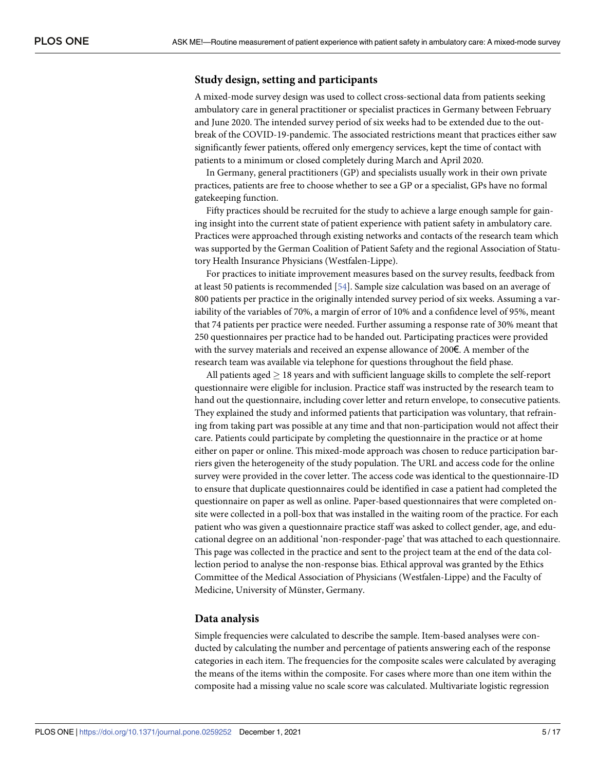# <span id="page-4-0"></span>**Study design, setting and participants**

A mixed-mode survey design was used to collect cross-sectional data from patients seeking ambulatory care in general practitioner or specialist practices in Germany between February and June 2020. The intended survey period of six weeks had to be extended due to the outbreak of the COVID-19-pandemic. The associated restrictions meant that practices either saw significantly fewer patients, offered only emergency services, kept the time of contact with patients to a minimum or closed completely during March and April 2020.

In Germany, general practitioners (GP) and specialists usually work in their own private practices, patients are free to choose whether to see a GP or a specialist, GPs have no formal gatekeeping function.

Fifty practices should be recruited for the study to achieve a large enough sample for gaining insight into the current state of patient experience with patient safety in ambulatory care. Practices were approached through existing networks and contacts of the research team which was supported by the German Coalition of Patient Safety and the regional Association of Statutory Health Insurance Physicians (Westfalen-Lippe).

For practices to initiate improvement measures based on the survey results, feedback from at least 50 patients is recommended [[54](#page-16-0)]. Sample size calculation was based on an average of 800 patients per practice in the originally intended survey period of six weeks. Assuming a variability of the variables of 70%, a margin of error of 10% and a confidence level of 95%, meant that 74 patients per practice were needed. Further assuming a response rate of 30% meant that 250 questionnaires per practice had to be handed out. Participating practices were provided with the survey materials and received an expense allowance of 200€. A member of the research team was available via telephone for questions throughout the field phase.

All patients aged  $\geq$  18 years and with sufficient language skills to complete the self-report questionnaire were eligible for inclusion. Practice staff was instructed by the research team to hand out the questionnaire, including cover letter and return envelope, to consecutive patients. They explained the study and informed patients that participation was voluntary, that refraining from taking part was possible at any time and that non-participation would not affect their care. Patients could participate by completing the questionnaire in the practice or at home either on paper or online. This mixed-mode approach was chosen to reduce participation barriers given the heterogeneity of the study population. The URL and access code for the online survey were provided in the cover letter. The access code was identical to the questionnaire-ID to ensure that duplicate questionnaires could be identified in case a patient had completed the questionnaire on paper as well as online. Paper-based questionnaires that were completed onsite were collected in a poll-box that was installed in the waiting room of the practice. For each patient who was given a questionnaire practice staff was asked to collect gender, age, and educational degree on an additional 'non-responder-page' that was attached to each questionnaire. This page was collected in the practice and sent to the project team at the end of the data collection period to analyse the non-response bias. Ethical approval was granted by the Ethics Committee of the Medical Association of Physicians (Westfalen-Lippe) and the Faculty of Medicine, University of Münster, Germany.

# **Data analysis**

Simple frequencies were calculated to describe the sample. Item-based analyses were conducted by calculating the number and percentage of patients answering each of the response categories in each item. The frequencies for the composite scales were calculated by averaging the means of the items within the composite. For cases where more than one item within the composite had a missing value no scale score was calculated. Multivariate logistic regression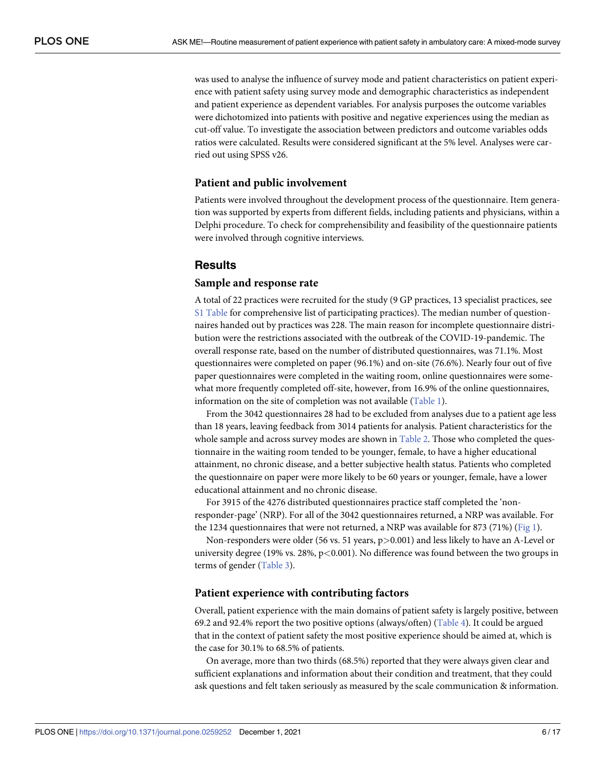<span id="page-5-0"></span>was used to analyse the influence of survey mode and patient characteristics on patient experience with patient safety using survey mode and demographic characteristics as independent and patient experience as dependent variables. For analysis purposes the outcome variables were dichotomized into patients with positive and negative experiences using the median as cut-off value. To investigate the association between predictors and outcome variables odds ratios were calculated. Results were considered significant at the 5% level. Analyses were carried out using SPSS v26.

### **Patient and public involvement**

Patients were involved throughout the development process of the questionnaire. Item generation was supported by experts from different fields, including patients and physicians, within a Delphi procedure. To check for comprehensibility and feasibility of the questionnaire patients were involved through cognitive interviews.

# **Results**

#### **Sample and response rate**

A total of 22 practices were recruited for the study (9 GP practices, 13 specialist practices, see S1 [Table](#page-12-0) for comprehensive list of participating practices). The median number of questionnaires handed out by practices was 228. The main reason for incomplete questionnaire distribution were the restrictions associated with the outbreak of the COVID-19-pandemic. The overall response rate, based on the number of distributed questionnaires, was 71.1%. Most questionnaires were completed on paper (96.1%) and on-site (76.6%). Nearly four out of five paper questionnaires were completed in the waiting room, online questionnaires were somewhat more frequently completed off-site, however, from 16.9% of the online questionnaires, information on the site of completion was not available ([Table](#page-6-0) 1).

From the 3042 questionnaires 28 had to be excluded from analyses due to a patient age less than 18 years, leaving feedback from 3014 patients for analysis. Patient characteristics for the whole sample and across survey modes are shown in [Table](#page-6-0) 2. Those who completed the questionnaire in the waiting room tended to be younger, female, to have a higher educational attainment, no chronic disease, and a better subjective health status. Patients who completed the questionnaire on paper were more likely to be 60 years or younger, female, have a lower educational attainment and no chronic disease.

For 3915 of the 4276 distributed questionnaires practice staff completed the 'nonresponder-page' (NRP). For all of the 3042 questionnaires returned, a NRP was available. For the 1234 questionnaires that were not returned, a NRP was available for 873 (71%) [\(Fig](#page-7-0) 1).

Non-responders were older (56 vs. 51 years, p*>*0.001) and less likely to have an A-Level or university degree (19% vs. 28%, p*<*0.001). No difference was found between the two groups in terms of gender [\(Table](#page-7-0) 3).

### **Patient experience with contributing factors**

Overall, patient experience with the main domains of patient safety is largely positive, between 69.2 and 92.4% report the two positive options (always/often) [\(Table](#page-8-0) 4). It could be argued that in the context of patient safety the most positive experience should be aimed at, which is the case for 30.1% to 68.5% of patients.

On average, more than two thirds (68.5%) reported that they were always given clear and sufficient explanations and information about their condition and treatment, that they could ask questions and felt taken seriously as measured by the scale communication & information.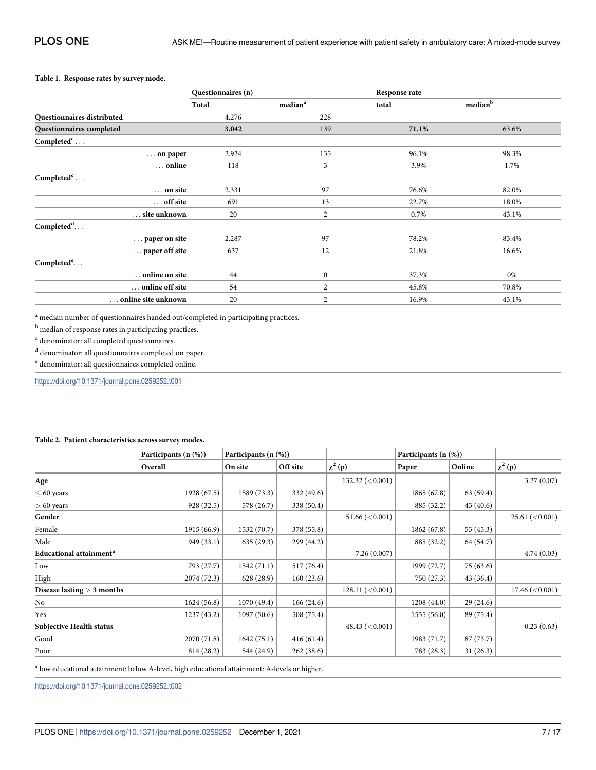#### <span id="page-6-0"></span>**[Table](#page-5-0) 1. Response rates by survey mode.**

|                            | Questionnaires (n) |                     | Response rate |                                |  |  |
|----------------------------|--------------------|---------------------|---------------|--------------------------------|--|--|
|                            | Total              | median <sup>a</sup> | total         | $^{\dagger}$ median $^{\rm b}$ |  |  |
| Questionnaires distributed | 4.276              | 228                 |               |                                |  |  |
| Questionnaires completed   | 3.042              | 139                 | 71.1%         | 63.6%                          |  |  |
| Completed <sup>c</sup>     |                    |                     |               |                                |  |  |
| $\ldots$ on paper          | 2.924              | 135                 | 96.1%         | 98.3%                          |  |  |
| online                     | 118                | 3                   | 3.9%          | 1.7%                           |  |  |
| Completed $\text{c}$       |                    |                     |               |                                |  |  |
| on site                    | 2.331              | 97                  | 76.6%         | 82.0%                          |  |  |
| $\ldots$ off site          | 691                | 13                  | 22.7%         | 18.0%                          |  |  |
| site unknown               | 20                 | 2                   | 0.7%          | 43.1%                          |  |  |
| Completed <sup>d</sup>     |                    |                     |               |                                |  |  |
| paper on site              | 2.287              | 97                  | 78.2%         | 83.4%                          |  |  |
| paper off site             | 637                | 12                  | 21.8%         | 16.6%                          |  |  |
| Completed <sup>e</sup>     |                    |                     |               |                                |  |  |
| online on site             | 44                 | $\boldsymbol{0}$    | 37.3%         | 0%                             |  |  |
| online off site            | 54                 | 2                   | 45.8%         | 70.8%                          |  |  |
| online site unknown        | 20                 | $\overline{2}$      | 16.9%         | 43.1%                          |  |  |

<sup>a</sup> median number of questionnaires handed out/completed in participating practices.

 $^{\rm b}$  median of response rates in participating practices.

<sup>c</sup> denominator: all completed questionnaires.

 $^{\rm d}$  denominator: all questionnaires completed on paper.

 $^{\rm e}$  denominator: all questionnaires completed online.

<https://doi.org/10.1371/journal.pone.0259252.t001>

#### **[Table](#page-5-0) 2. Patient characteristics across survey modes.**

|                                     | Participants $(n \ (\%))$ | Participants $(n (\%))$ |            |                   | Participants (n (%)) |           |                                |  |
|-------------------------------------|---------------------------|-------------------------|------------|-------------------|----------------------|-----------|--------------------------------|--|
|                                     | Overall                   | On site                 | Off site   | $\chi^2(p)$       | Paper                | Online    | $\chi^2(p)$                    |  |
| Age                                 |                           |                         |            | 132.32 $(<0.001)$ |                      |           | 3.27(0.07)                     |  |
| $\leq$ 60 years                     | 1928 (67.5)               | 1589 (73.3)             | 332 (49.6) |                   | 1865(67.8)           | 63(59.4)  |                                |  |
| $> 60$ years                        | 928 (32.5)                | 578 (26.7)              | 338 (50.4) |                   | 885 (32.2)           | 43(40.6)  |                                |  |
| Gender                              |                           |                         |            | 51.66 $(<0.001$ ) |                      |           | 25.61 (< 0.001)                |  |
| Female                              | 1915 (66.9)               | 1532 (70.7)             | 378 (55.8) |                   | 1862(67.8)           | 53(45.3)  |                                |  |
| Male                                | 949 (33.1)                | 635(29.3)               | 299 (44.2) |                   | 885 (32.2)           | 64 (54.7) |                                |  |
| Educational attainment <sup>a</sup> |                           |                         |            | 7.26(0.007)       |                      |           | 4.74(0.03)                     |  |
| Low                                 | 793 (27.7)                | 1542(71.1)              | 517 (76.4) |                   | 1999 (72.7)          | 75(63.6)  |                                |  |
| High                                | 2074 (72.3)               | 628 (28.9)              | 160(23.6)  |                   | 750 (27.3)           | 43(36.4)  |                                |  |
| Disease lasting $>$ 3 months        |                           |                         |            | 128.11 (< 0.001)  |                      |           | $17.46 \left( < 0.001 \right)$ |  |
| No                                  | 1624 (56.8)               | 1070(49.4)              | 166(24.6)  |                   | 1208(44.0)           | 29(24.6)  |                                |  |
| Yes                                 | 1237 (43.2)               | 1097(50.6)              | 508 (75.4) |                   | 1535(56.0)           | 89 (75.4) |                                |  |
| Subjective Health status            |                           |                         |            | 48.43 $(<0.001$ ) |                      |           | 0.23(0.63)                     |  |
| Good                                | 2070 (71.8)               | 1642(75.1)              | 416(61.4)  |                   | 1983 (71.7)          | 87(73.7)  |                                |  |
| Poor                                | 814 (28.2)                | 544 (24.9)              | 262(38.6)  |                   | 783 (28.3)           | 31(26.3)  |                                |  |

<sup>a</sup> low educational attainment: below A-level, high educational attainment: A-levels or higher.

<https://doi.org/10.1371/journal.pone.0259252.t002>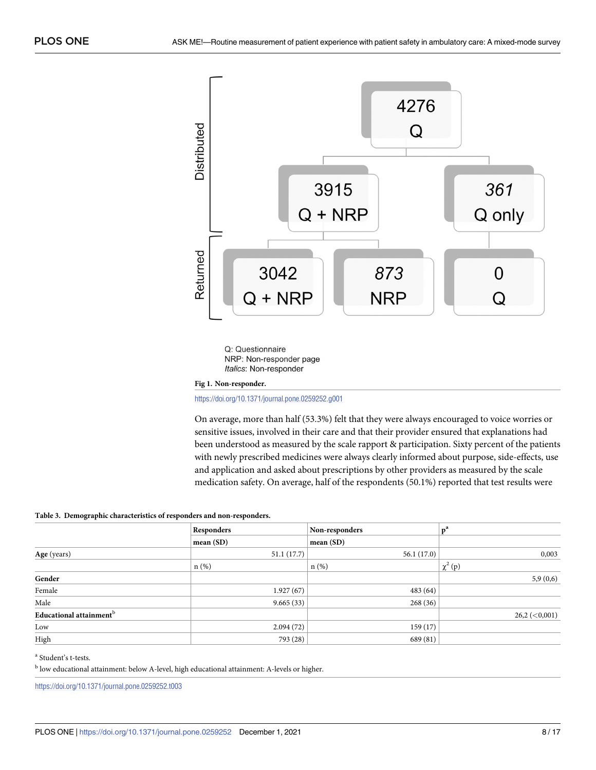<span id="page-7-0"></span>

Q: Questionnaire NRP: Non-responder page Italics: Non-responder

**[Fig](#page-5-0) 1. Non-responder.**

<https://doi.org/10.1371/journal.pone.0259252.g001>

On average, more than half (53.3%) felt that they were always encouraged to voice worries or sensitive issues, involved in their care and that their provider ensured that explanations had been understood as measured by the scale rapport & participation. Sixty percent of the patients with newly prescribed medicines were always clearly informed about purpose, side-effects, use and application and asked about prescriptions by other providers as measured by the scale medication safety. On average, half of the respondents (50.1%) reported that test results were

#### **[Table](#page-5-0) 3. Demographic characteristics of responders and non-responders.**

|                                     | Responders | Non-responders | $ P^a $            |
|-------------------------------------|------------|----------------|--------------------|
|                                     | mean (SD)  | mean(SD)       |                    |
| Age (years)                         | 51.1(17.7) | 56.1(17.0)     | 0,003              |
|                                     | $n$ (%)    | $n(\%)$        | $\chi^2(p)$        |
| Gender                              |            |                | 5,9(0,6)           |
| Female                              | 1.927(67)  | 483 (64)       |                    |
| Male                                | 9.665(33)  | 268(36)        |                    |
| Educational attainment <sup>b</sup> |            |                | $26,2 \, (<0,001)$ |
| Low                                 | 2.094(72)  | 159(17)        |                    |
| High                                | 793 (28)   | 689 (81)       |                    |

<sup>a</sup> Student's t-tests.

<sup>b</sup> low educational attainment: below A-level, high educational attainment: A-levels or higher.

<https://doi.org/10.1371/journal.pone.0259252.t003>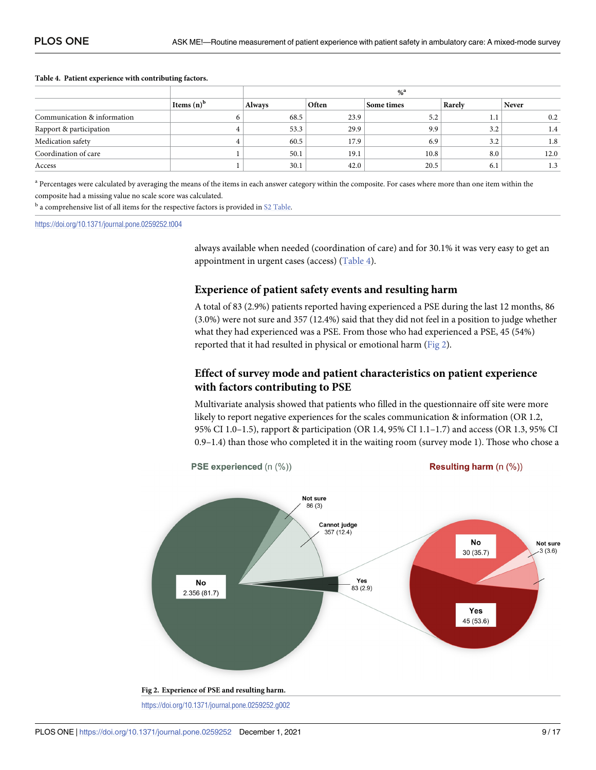#### <span id="page-8-0"></span>**[Table](#page-5-0) 4. Patient experience with contributing factors.**

|                             |               | $% ^{a}$      |       |            |        |              |  |  |  |
|-----------------------------|---------------|---------------|-------|------------|--------|--------------|--|--|--|
|                             | Items $(n)^b$ | <b>Always</b> | Often | Some times | Rarely | <b>Never</b> |  |  |  |
| Communication & information |               | 68.5          | 23.9  | 5.2        | 1.1    | 0.2          |  |  |  |
| Rapport & participation     |               | 53.3          | 29.9  | 9.9        | 3.2    | 1.4          |  |  |  |
| Medication safety           |               | 60.5          | 17.9  | 6.9        | 3.2    | 1.8          |  |  |  |
| Coordination of care        |               | 50.1          | 19.1  | 10.8       | 8.0    | 12.0         |  |  |  |
| Access                      |               | 30.1          | 42.0  | 20.5       | 6.1    | 1.3          |  |  |  |

<sup>a</sup> Percentages were calculated by averaging the means of the items in each answer category within the composite. For cases where more than one item within the composite had a missing value no scale score was calculated.

 $<sup>b</sup>$  a comprehensive list of all items for the respective factors is provided in S2 [Table.](#page-12-0)</sup>

<https://doi.org/10.1371/journal.pone.0259252.t004>

always available when needed (coordination of care) and for 30.1% it was very easy to get an appointment in urgent cases (access) (Table 4).

### **Experience of patient safety events and resulting harm**

A total of 83 (2.9%) patients reported having experienced a PSE during the last 12 months, 86 (3.0%) were not sure and 357 (12.4%) said that they did not feel in a position to judge whether what they had experienced was a PSE. From those who had experienced a PSE, 45 (54%) reported that it had resulted in physical or emotional harm (Fig 2).

# **Effect of survey mode and patient characteristics on patient experience with factors contributing to PSE**

Multivariate analysis showed that patients who filled in the questionnaire off site were more likely to report negative experiences for the scales communication & information (OR 1.2, 95% CI 1.0–1.5), rapport & participation (OR 1.4, 95% CI 1.1–1.7) and access (OR 1.3, 95% CI 0.9–1.4) than those who completed it in the waiting room (survey mode 1). Those who chose a

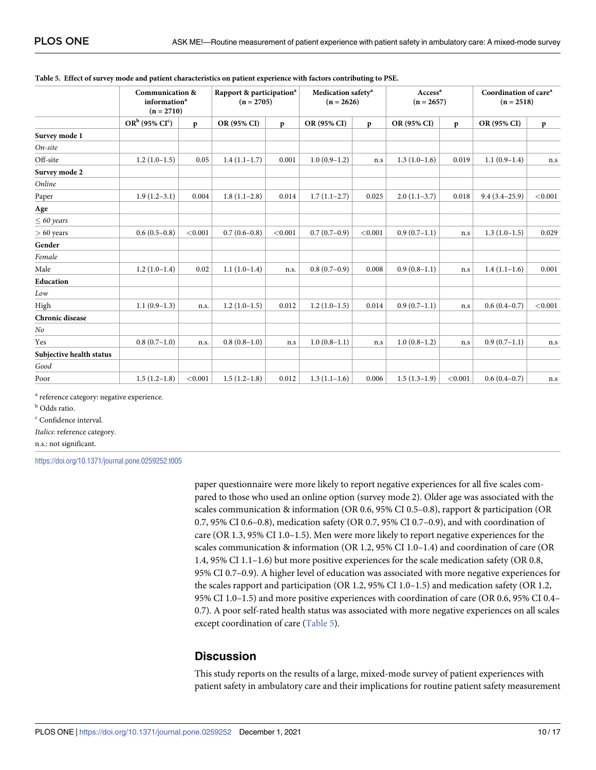|                          | <b>Communication &amp;</b><br>information <sup>a</sup><br>$(n = 2710)$ |              | Rapport & participation <sup>a</sup><br>$(n = 2705)$ |              | Medication safety <sup>a</sup><br>$(n = 2626)$ |              | Access <sup>a</sup><br>$(n = 2657)$ |              | Coordination of care <sup>a</sup><br>$(n = 2518)$ |              |
|--------------------------|------------------------------------------------------------------------|--------------|------------------------------------------------------|--------------|------------------------------------------------|--------------|-------------------------------------|--------------|---------------------------------------------------|--------------|
|                          | $OR^b$ (95% $CI^c$ )                                                   | $\mathbf{p}$ | OR (95% CI)                                          | $\mathbf{p}$ | OR (95% CI)                                    | $\mathbf{p}$ | OR (95% CI)                         | $\mathbf{p}$ | OR (95% CI)                                       | $\mathbf{p}$ |
| Survey mode 1            |                                                                        |              |                                                      |              |                                                |              |                                     |              |                                                   |              |
| On-site                  |                                                                        |              |                                                      |              |                                                |              |                                     |              |                                                   |              |
| Off-site                 | $1.2(1.0-1.5)$                                                         | 0.05         | $1.4(1.1-1.7)$                                       | 0.001        | $1.0(0.9-1.2)$                                 | n.s          | $1.3(1.0-1.6)$                      | 0.019        | $1.1(0.9-1.4)$                                    | n.s          |
| Survey mode 2            |                                                                        |              |                                                      |              |                                                |              |                                     |              |                                                   |              |
| Online                   |                                                                        |              |                                                      |              |                                                |              |                                     |              |                                                   |              |
| Paper                    | $1.9(1.2-3.1)$                                                         | 0.004        | $1.8(1.1-2.8)$                                       | 0.014        | $1.7(1.1-2.7)$                                 | 0.025        | $2.0(1.1-3.7)$                      | 0.018        | $9.4(3.4-25.9)$                                   | < 0.001      |
| Age                      |                                                                        |              |                                                      |              |                                                |              |                                     |              |                                                   |              |
| $\leq 60$ years          |                                                                        |              |                                                      |              |                                                |              |                                     |              |                                                   |              |
| $> 60$ years             | $0.6(0.5-0.8)$                                                         | < 0.001      | $0.7(0.6-0.8)$                                       | < 0.001      | $0.7(0.7-0.9)$                                 | < 0.001      | $0.9(0.7-1.1)$                      | n.s          | $1.3(1.0-1.5)$                                    | 0.029        |
| Gender                   |                                                                        |              |                                                      |              |                                                |              |                                     |              |                                                   |              |
| Female                   |                                                                        |              |                                                      |              |                                                |              |                                     |              |                                                   |              |
| Male                     | $1.2(1.0-1.4)$                                                         | 0.02         | $1.1(1.0-1.4)$                                       | n.s.         | $0.8(0.7-0.9)$                                 | 0.008        | $0.9(0.8-1.1)$                      | n.s          | $1.4(1.1-1.6)$                                    | 0.001        |
| Education                |                                                                        |              |                                                      |              |                                                |              |                                     |              |                                                   |              |
| Low                      |                                                                        |              |                                                      |              |                                                |              |                                     |              |                                                   |              |
| High                     | $1.1(0.9-1.3)$                                                         | n.s.         | $1.2(1.0-1.5)$                                       | 0.012        | $1.2(1.0-1.5)$                                 | 0.014        | $0.9(0.7-1.1)$                      | n.s          | $0.6(0.4-0.7)$                                    | < 0.001      |
| Chronic disease          |                                                                        |              |                                                      |              |                                                |              |                                     |              |                                                   |              |
| No                       |                                                                        |              |                                                      |              |                                                |              |                                     |              |                                                   |              |
| Yes                      | $0.8(0.7-1.0)$                                                         | n.s.         | $0.8(0.8-1.0)$                                       | n.s          | $1.0(0.8-1.1)$                                 | n.s          | $1.0(0.8-1.2)$                      | n.s          | $0.9(0.7-1.1)$                                    | n.s          |
| Subjective health status |                                                                        |              |                                                      |              |                                                |              |                                     |              |                                                   |              |
| Good                     |                                                                        |              |                                                      |              |                                                |              |                                     |              |                                                   |              |
| Poor                     | $1.5(1.2-1.8)$                                                         | < 0.001      | $1.5(1.2-1.8)$                                       | 0.012        | $1.3(1.1-1.6)$                                 | 0.006        | $1.5(1.3-1.9)$                      | < 0.001      | $0.6(0.4-0.7)$                                    | n.s          |

#### Table 5. Effect of survey mode and patient characteristics on patient experience with factors contributing to PSE.

<sup>a</sup> reference category: negative experience.

**b** Odds ratio.

 $\rm ^c$  Confidence interval.

*Italics*: reference category.

n.s.: not significant.

<https://doi.org/10.1371/journal.pone.0259252.t005>

paper questionnaire were more likely to report negative experiences for all five scales compared to those who used an online option (survey mode 2). Older age was associated with the scales communication & information (OR 0.6, 95% CI 0.5–0.8), rapport & participation (OR 0.7, 95% CI 0.6–0.8), medication safety (OR 0.7, 95% CI 0.7–0.9), and with coordination of care (OR 1.3, 95% CI 1.0–1.5). Men were more likely to report negative experiences for the scales communication & information (OR 1.2, 95% CI 1.0–1.4) and coordination of care (OR 1.4, 95% CI 1.1–1.6) but more positive experiences for the scale medication safety (OR 0.8, 95% CI 0.7–0.9). A higher level of education was associated with more negative experiences for the scales rapport and participation (OR 1.2, 95% CI 1.0–1.5) and medication safety (OR 1.2, 95% CI 1.0–1.5) and more positive experiences with coordination of care (OR 0.6, 95% CI 0.4– 0.7). A poor self-rated health status was associated with more negative experiences on all scales except coordination of care (Table 5).

# **Discussion**

This study reports on the results of a large, mixed-mode survey of patient experiences with patient safety in ambulatory care and their implications for routine patient safety measurement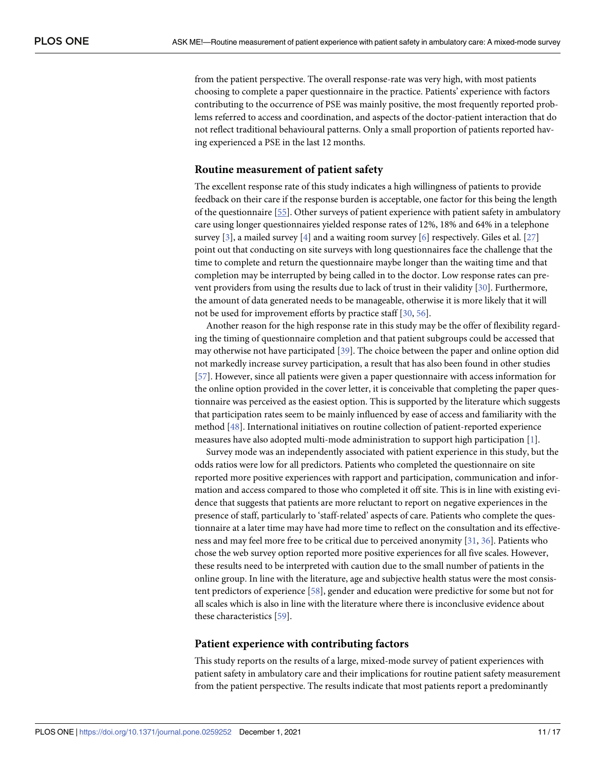<span id="page-10-0"></span>from the patient perspective. The overall response-rate was very high, with most patients choosing to complete a paper questionnaire in the practice. Patients' experience with factors contributing to the occurrence of PSE was mainly positive, the most frequently reported problems referred to access and coordination, and aspects of the doctor-patient interaction that do not reflect traditional behavioural patterns. Only a small proportion of patients reported having experienced a PSE in the last 12 months.

### **Routine measurement of patient safety**

The excellent response rate of this study indicates a high willingness of patients to provide feedback on their care if the response burden is acceptable, one factor for this being the length of the questionnaire [\[55\]](#page-16-0). Other surveys of patient experience with patient safety in ambulatory care using longer questionnaires yielded response rates of 12%, 18% and 64% in a telephone survey [[3](#page-13-0)], a mailed survey [[4](#page-13-0)] and a waiting room survey [\[6](#page-13-0)] respectively. Giles et al. [\[27\]](#page-14-0) point out that conducting on site surveys with long questionnaires face the challenge that the time to complete and return the questionnaire maybe longer than the waiting time and that completion may be interrupted by being called in to the doctor. Low response rates can prevent providers from using the results due to lack of trust in their validity [\[30\]](#page-15-0). Furthermore, the amount of data generated needs to be manageable, otherwise it is more likely that it will not be used for improvement efforts by practice staff [[30](#page-15-0), [56](#page-16-0)].

Another reason for the high response rate in this study may be the offer of flexibility regarding the timing of questionnaire completion and that patient subgroups could be accessed that may otherwise not have participated [[39](#page-15-0)]. The choice between the paper and online option did not markedly increase survey participation, a result that has also been found in other studies [\[57\]](#page-16-0). However, since all patients were given a paper questionnaire with access information for the online option provided in the cover letter, it is conceivable that completing the paper questionnaire was perceived as the easiest option. This is supported by the literature which suggests that participation rates seem to be mainly influenced by ease of access and familiarity with the method [[48](#page-15-0)]. International initiatives on routine collection of patient-reported experience measures have also adopted multi-mode administration to support high participation [[1](#page-13-0)].

Survey mode was an independently associated with patient experience in this study, but the odds ratios were low for all predictors. Patients who completed the questionnaire on site reported more positive experiences with rapport and participation, communication and information and access compared to those who completed it off site. This is in line with existing evidence that suggests that patients are more reluctant to report on negative experiences in the presence of staff, particularly to 'staff-related' aspects of care. Patients who complete the questionnaire at a later time may have had more time to reflect on the consultation and its effectiveness and may feel more free to be critical due to perceived anonymity [\[31,](#page-15-0) [36\]](#page-15-0). Patients who chose the web survey option reported more positive experiences for all five scales. However, these results need to be interpreted with caution due to the small number of patients in the online group. In line with the literature, age and subjective health status were the most consistent predictors of experience [\[58\]](#page-16-0), gender and education were predictive for some but not for all scales which is also in line with the literature where there is inconclusive evidence about these characteristics [\[59\]](#page-16-0).

#### **Patient experience with contributing factors**

This study reports on the results of a large, mixed-mode survey of patient experiences with patient safety in ambulatory care and their implications for routine patient safety measurement from the patient perspective. The results indicate that most patients report a predominantly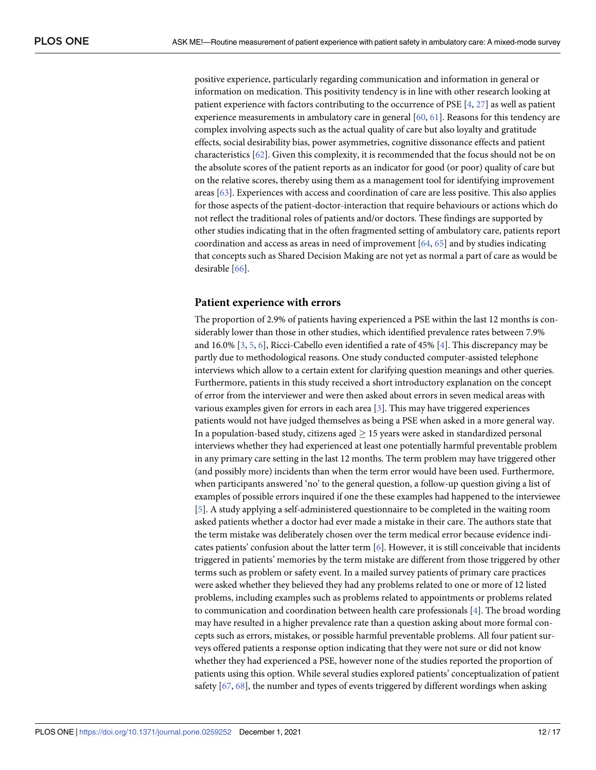<span id="page-11-0"></span>positive experience, particularly regarding communication and information in general or information on medication. This positivity tendency is in line with other research looking at patient experience with factors contributing to the occurrence of PSE [\[4,](#page-13-0) [27\]](#page-14-0) as well as patient experience measurements in ambulatory care in general [[60](#page-16-0), [61](#page-16-0)]. Reasons for this tendency are complex involving aspects such as the actual quality of care but also loyalty and gratitude effects, social desirability bias, power asymmetries, cognitive dissonance effects and patient characteristics [\[62\]](#page-16-0). Given this complexity, it is recommended that the focus should not be on the absolute scores of the patient reports as an indicator for good (or poor) quality of care but on the relative scores, thereby using them as a management tool for identifying improvement areas [[63](#page-16-0)]. Experiences with access and coordination of care are less positive. This also applies for those aspects of the patient-doctor-interaction that require behaviours or actions which do not reflect the traditional roles of patients and/or doctors. These findings are supported by other studies indicating that in the often fragmented setting of ambulatory care, patients report coordination and access as areas in need of improvement [[64](#page-16-0), [65](#page-16-0)] and by studies indicating that concepts such as Shared Decision Making are not yet as normal a part of care as would be desirable [\[66\]](#page-16-0).

### **Patient experience with errors**

The proportion of 2.9% of patients having experienced a PSE within the last 12 months is considerably lower than those in other studies, which identified prevalence rates between 7.9% and 16.0% [\[3,](#page-13-0) [5,](#page-13-0) [6](#page-13-0)], Ricci-Cabello even identified a rate of 45% [\[4\]](#page-13-0). This discrepancy may be partly due to methodological reasons. One study conducted computer-assisted telephone interviews which allow to a certain extent for clarifying question meanings and other queries. Furthermore, patients in this study received a short introductory explanation on the concept of error from the interviewer and were then asked about errors in seven medical areas with various examples given for errors in each area [\[3](#page-13-0)]. This may have triggered experiences patients would not have judged themselves as being a PSE when asked in a more general way. In a population-based study, citizens aged  $\geq$  15 years were asked in standardized personal interviews whether they had experienced at least one potentially harmful preventable problem in any primary care setting in the last 12 months. The term problem may have triggered other (and possibly more) incidents than when the term error would have been used. Furthermore, when participants answered 'no' to the general question, a follow-up question giving a list of examples of possible errors inquired if one the these examples had happened to the interviewee [\[5](#page-13-0)]. A study applying a self-administered questionnaire to be completed in the waiting room asked patients whether a doctor had ever made a mistake in their care. The authors state that the term mistake was deliberately chosen over the term medical error because evidence indicates patients' confusion about the latter term [[6](#page-13-0)]. However, it is still conceivable that incidents triggered in patients' memories by the term mistake are different from those triggered by other terms such as problem or safety event. In a mailed survey patients of primary care practices were asked whether they believed they had any problems related to one or more of 12 listed problems, including examples such as problems related to appointments or problems related to communication and coordination between health care professionals [\[4\]](#page-13-0). The broad wording may have resulted in a higher prevalence rate than a question asking about more formal concepts such as errors, mistakes, or possible harmful preventable problems. All four patient surveys offered patients a response option indicating that they were not sure or did not know whether they had experienced a PSE, however none of the studies reported the proportion of patients using this option. While several studies explored patients' conceptualization of patient safety [\[67,](#page-16-0) [68\]](#page-16-0), the number and types of events triggered by different wordings when asking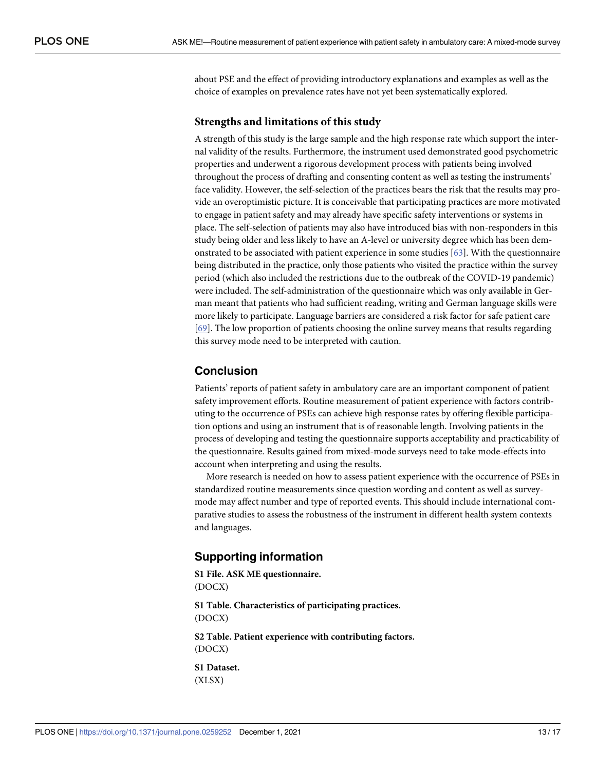<span id="page-12-0"></span>about PSE and the effect of providing introductory explanations and examples as well as the choice of examples on prevalence rates have not yet been systematically explored.

### **Strengths and limitations of this study**

A strength of this study is the large sample and the high response rate which support the internal validity of the results. Furthermore, the instrument used demonstrated good psychometric properties and underwent a rigorous development process with patients being involved throughout the process of drafting and consenting content as well as testing the instruments' face validity. However, the self-selection of the practices bears the risk that the results may provide an overoptimistic picture. It is conceivable that participating practices are more motivated to engage in patient safety and may already have specific safety interventions or systems in place. The self-selection of patients may also have introduced bias with non-responders in this study being older and less likely to have an A-level or university degree which has been demonstrated to be associated with patient experience in some studies [\[63\]](#page-16-0). With the questionnaire being distributed in the practice, only those patients who visited the practice within the survey period (which also included the restrictions due to the outbreak of the COVID-19 pandemic) were included. The self-administration of the questionnaire which was only available in German meant that patients who had sufficient reading, writing and German language skills were more likely to participate. Language barriers are considered a risk factor for safe patient care [\[69\]](#page-16-0). The low proportion of patients choosing the online survey means that results regarding this survey mode need to be interpreted with caution.

# **Conclusion**

Patients' reports of patient safety in ambulatory care are an important component of patient safety improvement efforts. Routine measurement of patient experience with factors contributing to the occurrence of PSEs can achieve high response rates by offering flexible participation options and using an instrument that is of reasonable length. Involving patients in the process of developing and testing the questionnaire supports acceptability and practicability of the questionnaire. Results gained from mixed-mode surveys need to take mode-effects into account when interpreting and using the results.

More research is needed on how to assess patient experience with the occurrence of PSEs in standardized routine measurements since question wording and content as well as surveymode may affect number and type of reported events. This should include international comparative studies to assess the robustness of the instrument in different health system contexts and languages.

# **Supporting information**

**S1 [File.](http://www.plosone.org/article/fetchSingleRepresentation.action?uri=info:doi/10.1371/journal.pone.0259252.s001) ASK ME questionnaire.** (DOCX)

**S1 [Table.](http://www.plosone.org/article/fetchSingleRepresentation.action?uri=info:doi/10.1371/journal.pone.0259252.s002) Characteristics of participating practices.** (DOCX)

**S2 [Table.](http://www.plosone.org/article/fetchSingleRepresentation.action?uri=info:doi/10.1371/journal.pone.0259252.s003) Patient experience with contributing factors.** (DOCX)

**S1 [Dataset.](http://www.plosone.org/article/fetchSingleRepresentation.action?uri=info:doi/10.1371/journal.pone.0259252.s004)** (XLSX)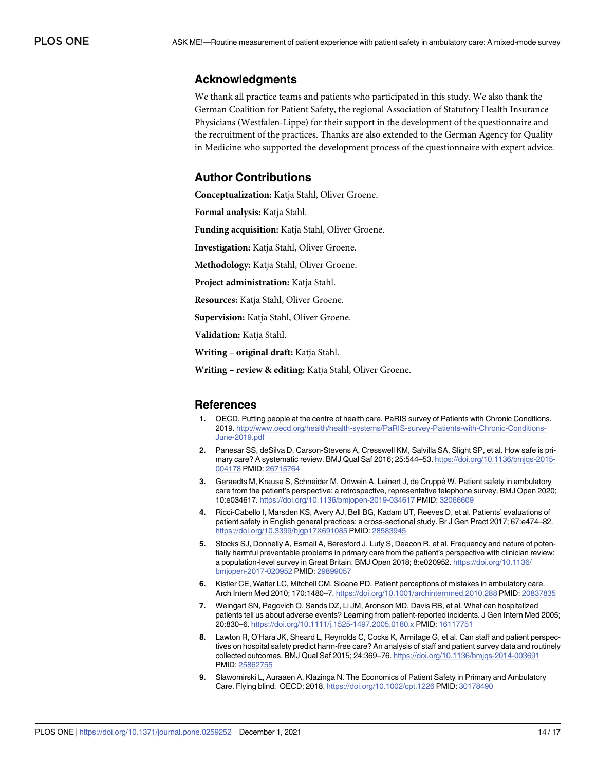# <span id="page-13-0"></span>**Acknowledgments**

We thank all practice teams and patients who participated in this study. We also thank the German Coalition for Patient Safety, the regional Association of Statutory Health Insurance Physicians (Westfalen-Lippe) for their support in the development of the questionnaire and the recruitment of the practices. Thanks are also extended to the German Agency for Quality in Medicine who supported the development process of the questionnaire with expert advice.

# **Author Contributions**

**Conceptualization:** Katja Stahl, Oliver Groene.

**Formal analysis:** Katja Stahl.

**Funding acquisition:** Katja Stahl, Oliver Groene.

**Investigation:** Katja Stahl, Oliver Groene.

**Methodology:** Katja Stahl, Oliver Groene.

**Project administration:** Katja Stahl.

**Resources:** Katja Stahl, Oliver Groene.

**Supervision:** Katja Stahl, Oliver Groene.

**Validation:** Katja Stahl.

**Writing – original draft:** Katja Stahl.

**Writing – review & editing:** Katja Stahl, Oliver Groene.

#### **References**

- **[1](#page-1-0).** OECD. Putting people at the centre of health care. PaRIS survey of Patients with Chronic Conditions. 2019. [http://www.oecd.org/health/health-systems/PaRIS-survey-Patients-with-Chronic-Conditions-](http://www.oecd.org/health/health-systems/PaRIS-survey-Patients-with-Chronic-Conditions-June-2019.pdf)[June-2019.pdf](http://www.oecd.org/health/health-systems/PaRIS-survey-Patients-with-Chronic-Conditions-June-2019.pdf)
- **[2](#page-1-0).** Panesar SS, deSilva D, Carson-Stevens A, Cresswell KM, Salvilla SA, Slight SP, et al. How safe is primary care? A systematic review. BMJ Qual Saf 2016; 25:544–53. [https://doi.org/10.1136/bmjqs-2015-](https://doi.org/10.1136/bmjqs-2015-004178) [004178](https://doi.org/10.1136/bmjqs-2015-004178) PMID: [26715764](http://www.ncbi.nlm.nih.gov/pubmed/26715764)
- **[3](#page-1-0).** Geraedts M, Krause S, Schneider M, Ortwein A, Leinert J, de Cruppé W. Patient safety in ambulatory care from the patient's perspective: a retrospective, representative telephone survey. BMJ Open 2020; 10:e034617. <https://doi.org/10.1136/bmjopen-2019-034617> PMID: [32066609](http://www.ncbi.nlm.nih.gov/pubmed/32066609)
- **[4](#page-10-0).** Ricci-Cabello I, Marsden KS, Avery AJ, Bell BG, Kadam UT, Reeves D, et al. Patients' evaluations of patient safety in English general practices: a cross-sectional study. Br J Gen Pract 2017; 67:e474–82. <https://doi.org/10.3399/bjgp17X691085> PMID: [28583945](http://www.ncbi.nlm.nih.gov/pubmed/28583945)
- **[5](#page-2-0).** Stocks SJ, Donnelly A, Esmail A, Beresford J, Luty S, Deacon R, et al. Frequency and nature of potentially harmful preventable problems in primary care from the patient's perspective with clinician review: a population-level survey in Great Britain. BMJ Open 2018; 8:e020952. [https://doi.org/10.1136/](https://doi.org/10.1136/bmjopen-2017-020952) [bmjopen-2017-020952](https://doi.org/10.1136/bmjopen-2017-020952) PMID: [29899057](http://www.ncbi.nlm.nih.gov/pubmed/29899057)
- **[6](#page-1-0).** Kistler CE, Walter LC, Mitchell CM, Sloane PD. Patient perceptions of mistakes in ambulatory care. Arch Intern Med 2010; 170:1480–7. <https://doi.org/10.1001/archinternmed.2010.288> PMID: [20837835](http://www.ncbi.nlm.nih.gov/pubmed/20837835)
- **[7](#page-1-0).** Weingart SN, Pagovich O, Sands DZ, Li JM, Aronson MD, Davis RB, et al. What can hospitalized patients tell us about adverse events? Learning from patient-reported incidents. J Gen Intern Med 2005; 20:830–6. <https://doi.org/10.1111/j.1525-1497.2005.0180.x> PMID: [16117751](http://www.ncbi.nlm.nih.gov/pubmed/16117751)
- **[8](#page-1-0).** Lawton R, O'Hara JK, Sheard L, Reynolds C, Cocks K, Armitage G, et al. Can staff and patient perspectives on hospital safety predict harm-free care? An analysis of staff and patient survey data and routinely collected outcomes. BMJ Qual Saf 2015; 24:369–76. <https://doi.org/10.1136/bmjqs-2014-003691> PMID: [25862755](http://www.ncbi.nlm.nih.gov/pubmed/25862755)
- **[9](#page-1-0).** Slawomirski L, Auraaen A, Klazinga N. The Economics of Patient Safety in Primary and Ambulatory Care. Flying blind. OECD; 2018. <https://doi.org/10.1002/cpt.1226> PMID: [30178490](http://www.ncbi.nlm.nih.gov/pubmed/30178490)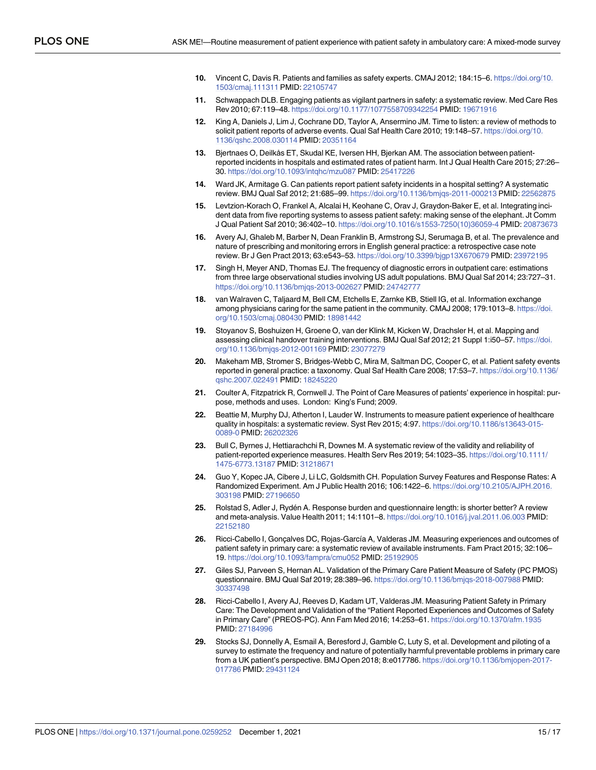- <span id="page-14-0"></span>**[10](#page-1-0).** Vincent C, Davis R. Patients and families as safety experts. CMAJ 2012; 184:15–6. [https://doi.org/10.](https://doi.org/10.1503/cmaj.111311) [1503/cmaj.111311](https://doi.org/10.1503/cmaj.111311) PMID: [22105747](http://www.ncbi.nlm.nih.gov/pubmed/22105747)
- **[11](#page-1-0).** Schwappach DLB. Engaging patients as vigilant partners in safety: a systematic review. Med Care Res Rev 2010; 67:119–48. <https://doi.org/10.1177/1077558709342254> PMID: [19671916](http://www.ncbi.nlm.nih.gov/pubmed/19671916)
- **[12](#page-1-0).** King A, Daniels J, Lim J, Cochrane DD, Taylor A, Ansermino JM. Time to listen: a review of methods to solicit patient reports of adverse events. Qual Saf Health Care 2010; 19:148–57. [https://doi.org/10.](https://doi.org/10.1136/qshc.2008.030114) [1136/qshc.2008.030114](https://doi.org/10.1136/qshc.2008.030114) PMID: [20351164](http://www.ncbi.nlm.nih.gov/pubmed/20351164)
- **[13](#page-1-0).** Bjertnaes O, Deilkås ET, Skudal KE, Iversen HH, Bjerkan AM. The association between patientreported incidents in hospitals and estimated rates of patient harm. Int J Qual Health Care 2015; 27:26– 30. <https://doi.org/10.1093/intqhc/mzu087> PMID: [25417226](http://www.ncbi.nlm.nih.gov/pubmed/25417226)
- **[14](#page-1-0).** Ward JK, Armitage G. Can patients report patient safety incidents in a hospital setting? A systematic review. BMJ Qual Saf 2012; 21:685–99. <https://doi.org/10.1136/bmjqs-2011-000213> PMID: [22562875](http://www.ncbi.nlm.nih.gov/pubmed/22562875)
- **[15](#page-1-0).** Levtzion-Korach O, Frankel A, Alcalai H, Keohane C, Orav J, Graydon-Baker E, et al. Integrating incident data from five reporting systems to assess patient safety: making sense of the elephant. Jt Comm J Qual Patient Saf 2010; 36:402–10. [https://doi.org/10.1016/s1553-7250\(10\)36059-4](https://doi.org/10.1016/s1553-7250%2810%2936059-4) PMID: [20873673](http://www.ncbi.nlm.nih.gov/pubmed/20873673)
- **[16](#page-1-0).** Avery AJ, Ghaleb M, Barber N, Dean Franklin B, Armstrong SJ, Serumaga B, et al. The prevalence and nature of prescribing and monitoring errors in English general practice: a retrospective case note review. Br J Gen Pract 2013; 63:e543–53. <https://doi.org/10.3399/bjgp13X670679> PMID: [23972195](http://www.ncbi.nlm.nih.gov/pubmed/23972195)
- **[17](#page-1-0).** Singh H, Meyer AND, Thomas EJ. The frequency of diagnostic errors in outpatient care: estimations from three large observational studies involving US adult populations. BMJ Qual Saf 2014; 23:727–31. <https://doi.org/10.1136/bmjqs-2013-002627> PMID: [24742777](http://www.ncbi.nlm.nih.gov/pubmed/24742777)
- **[18](#page-1-0).** van Walraven C, Taljaard M, Bell CM, Etchells E, Zarnke KB, Stiell IG, et al. Information exchange among physicians caring for the same patient in the community. CMAJ 2008; 179:1013–8. [https://doi.](https://doi.org/10.1503/cmaj.080430) [org/10.1503/cmaj.080430](https://doi.org/10.1503/cmaj.080430) PMID: [18981442](http://www.ncbi.nlm.nih.gov/pubmed/18981442)
- **[19](#page-1-0).** Stoyanov S, Boshuizen H, Groene O, van der Klink M, Kicken W, Drachsler H, et al. Mapping and assessing clinical handover training interventions. BMJ Qual Saf 2012; 21 Suppl 1:i50–57. [https://doi.](https://doi.org/10.1136/bmjqs-2012-001169) [org/10.1136/bmjqs-2012-001169](https://doi.org/10.1136/bmjqs-2012-001169) PMID: [23077279](http://www.ncbi.nlm.nih.gov/pubmed/23077279)
- **[20](#page-1-0).** Makeham MB, Stromer S, Bridges-Webb C, Mira M, Saltman DC, Cooper C, et al. Patient safety events reported in general practice: a taxonomy. Qual Saf Health Care 2008; 17:53–7. [https://doi.org/10.1136/](https://doi.org/10.1136/qshc.2007.022491) [qshc.2007.022491](https://doi.org/10.1136/qshc.2007.022491) PMID: [18245220](http://www.ncbi.nlm.nih.gov/pubmed/18245220)
- **[21](#page-1-0).** Coulter A, Fitzpatrick R, Cornwell J. The Point of Care Measures of patients' experience in hospital: purpose, methods and uses. London: King's Fund; 2009.
- **[22](#page-1-0).** Beattie M, Murphy DJ, Atherton I, Lauder W. Instruments to measure patient experience of healthcare quality in hospitals: a systematic review. Syst Rev 2015; 4:97. [https://doi.org/10.1186/s13643-015-](https://doi.org/10.1186/s13643-015-0089-0) [0089-0](https://doi.org/10.1186/s13643-015-0089-0) PMID: [26202326](http://www.ncbi.nlm.nih.gov/pubmed/26202326)
- **[23](#page-1-0).** Bull C, Byrnes J, Hettiarachchi R, Downes M. A systematic review of the validity and reliability of patient-reported experience measures. Health Serv Res 2019; 54:1023–35. [https://doi.org/10.1111/](https://doi.org/10.1111/1475-6773.13187) [1475-6773.13187](https://doi.org/10.1111/1475-6773.13187) PMID: [31218671](http://www.ncbi.nlm.nih.gov/pubmed/31218671)
- **[24](#page-1-0).** Guo Y, Kopec JA, Cibere J, Li LC, Goldsmith CH. Population Survey Features and Response Rates: A Randomized Experiment. Am J Public Health 2016; 106:1422–6. [https://doi.org/10.2105/AJPH.2016.](https://doi.org/10.2105/AJPH.2016.303198) [303198](https://doi.org/10.2105/AJPH.2016.303198) PMID: [27196650](http://www.ncbi.nlm.nih.gov/pubmed/27196650)
- [25](#page-1-0). Rolstad S, Adler J, Rydén A. Response burden and questionnaire length: is shorter better? A review and meta-analysis. Value Health 2011; 14:1101–8. <https://doi.org/10.1016/j.jval.2011.06.003> PMID: [22152180](http://www.ncbi.nlm.nih.gov/pubmed/22152180)
- **[26](#page-2-0).** Ricci-Cabello I, Gonçalves DC, Rojas-García A, Valderas JM. Measuring experiences and outcomes of patient safety in primary care: a systematic review of available instruments. Fam Pract 2015; 32:106– 19. <https://doi.org/10.1093/fampra/cmu052> PMID: [25192905](http://www.ncbi.nlm.nih.gov/pubmed/25192905)
- **[27](#page-2-0).** Giles SJ, Parveen S, Hernan AL. Validation of the Primary Care Patient Measure of Safety (PC PMOS) questionnaire. BMJ Qual Saf 2019; 28:389–96. <https://doi.org/10.1136/bmjqs-2018-007988> PMID: [30337498](http://www.ncbi.nlm.nih.gov/pubmed/30337498)
- **[28](#page-2-0).** Ricci-Cabello I, Avery AJ, Reeves D, Kadam UT, Valderas JM. Measuring Patient Safety in Primary Care: The Development and Validation of the "Patient Reported Experiences and Outcomes of Safety in Primary Care" (PREOS-PC). Ann Fam Med 2016; 14:253–61. <https://doi.org/10.1370/afm.1935> PMID: [27184996](http://www.ncbi.nlm.nih.gov/pubmed/27184996)
- **[29](#page-2-0).** Stocks SJ, Donnelly A, Esmail A, Beresford J, Gamble C, Luty S, et al. Development and piloting of a survey to estimate the frequency and nature of potentially harmful preventable problems in primary care from a UK patient's perspective. BMJ Open 2018; 8:e017786. [https://doi.org/10.1136/bmjopen-2017-](https://doi.org/10.1136/bmjopen-2017-017786) [017786](https://doi.org/10.1136/bmjopen-2017-017786) PMID: [29431124](http://www.ncbi.nlm.nih.gov/pubmed/29431124)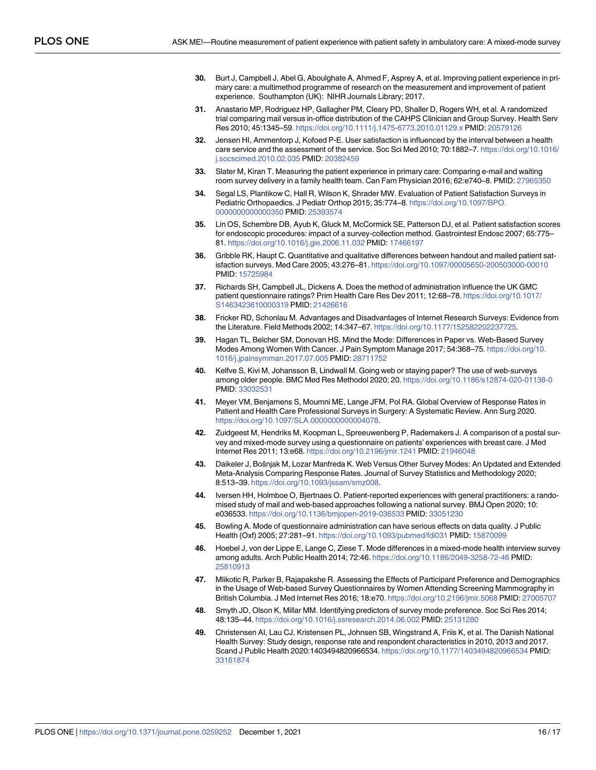- <span id="page-15-0"></span>**[30](#page-2-0).** Burt J, Campbell J, Abel G, Aboulghate A, Ahmed F, Asprey A, et al. Improving patient experience in primary care: a multimethod programme of research on the measurement and improvement of patient experience. Southampton (UK): NIHR Journals Library; 2017.
- **[31](#page-2-0).** Anastario MP, Rodriguez HP, Gallagher PM, Cleary PD, Shaller D, Rogers WH, et al. A randomized trial comparing mail versus in-office distribution of the CAHPS Clinician and Group Survey. Health Serv Res 2010; 45:1345–59. <https://doi.org/10.1111/j.1475-6773.2010.01129.x> PMID: [20579126](http://www.ncbi.nlm.nih.gov/pubmed/20579126)
- **[32](#page-2-0).** Jensen HI, Ammentorp J, Kofoed P-E. User satisfaction is influenced by the interval between a health care service and the assessment of the service. Soc Sci Med 2010; 70:1882–7. [https://doi.org/10.1016/](https://doi.org/10.1016/j.socscimed.2010.02.035) [j.socscimed.2010.02.035](https://doi.org/10.1016/j.socscimed.2010.02.035) PMID: [20382459](http://www.ncbi.nlm.nih.gov/pubmed/20382459)
- **[33](#page-2-0).** Slater M, Kiran T. Measuring the patient experience in primary care: Comparing e-mail and waiting room survey delivery in a family health team. Can Fam Physician 2016; 62:e740–8. PMID: [27965350](http://www.ncbi.nlm.nih.gov/pubmed/27965350)
- **34.** Segal LS, Plantikow C, Hall R, Wilson K, Shrader MW. Evaluation of Patient Satisfaction Surveys in Pediatric Orthopaedics. J Pediatr Orthop 2015; 35:774–8. [https://doi.org/10.1097/BPO.](https://doi.org/10.1097/BPO.0000000000000350) [0000000000000350](https://doi.org/10.1097/BPO.0000000000000350) PMID: [25393574](http://www.ncbi.nlm.nih.gov/pubmed/25393574)
- **[35](#page-2-0).** Lin OS, Schembre DB, Ayub K, Gluck M, McCormick SE, Patterson DJ, et al. Patient satisfaction scores for endoscopic procedures: impact of a survey-collection method. Gastrointest Endosc 2007; 65:775– 81. <https://doi.org/10.1016/j.gie.2006.11.032> PMID: [17466197](http://www.ncbi.nlm.nih.gov/pubmed/17466197)
- **[36](#page-2-0).** Gribble RK, Haupt C. Quantitative and qualitative differences between handout and mailed patient satisfaction surveys. Med Care 2005; 43:276–81. <https://doi.org/10.1097/00005650-200503000-00010> PMID: [15725984](http://www.ncbi.nlm.nih.gov/pubmed/15725984)
- **[37](#page-2-0).** Richards SH, Campbell JL, Dickens A. Does the method of administration influence the UK GMC patient questionnaire ratings? Prim Health Care Res Dev 2011; 12:68–78. [https://doi.org/10.1017/](https://doi.org/10.1017/S1463423610000319) [S1463423610000319](https://doi.org/10.1017/S1463423610000319) PMID: [21426616](http://www.ncbi.nlm.nih.gov/pubmed/21426616)
- **[38](#page-2-0).** Fricker RD, Schonlau M. Advantages and Disadvantages of Internet Research Surveys: Evidence from the Literature. Field Methods 2002; 14:347–67. <https://doi.org/10.1177/152582202237725>.
- **[39](#page-2-0).** Hagan TL, Belcher SM, Donovan HS. Mind the Mode: Differences in Paper vs. Web-Based Survey Modes Among Women With Cancer. J Pain Symptom Manage 2017; 54:368–75. [https://doi.org/10.](https://doi.org/10.1016/j.jpainsymman.2017.07.005) [1016/j.jpainsymman.2017.07.005](https://doi.org/10.1016/j.jpainsymman.2017.07.005) PMID: [28711752](http://www.ncbi.nlm.nih.gov/pubmed/28711752)
- **[40](#page-2-0).** Kelfve S, Kivi M, Johansson B, Lindwall M. Going web or staying paper? The use of web-surveys among older people. BMC Med Res Methodol 2020; 20. <https://doi.org/10.1186/s12874-020-01138-0> PMID: [33032531](http://www.ncbi.nlm.nih.gov/pubmed/33032531)
- **[41](#page-2-0).** Meyer VM, Benjamens S, Moumni ME, Lange JFM, Pol RA. Global Overview of Response Rates in Patient and Health Care Professional Surveys in Surgery: A Systematic Review. Ann Surg 2020. [https://doi.org/10.1097/SLA.0000000000004078.](https://doi.org/10.1097/SLA.0000000000004078)
- **[42](#page-2-0).** Zuidgeest M, Hendriks M, Koopman L, Spreeuwenberg P, Rademakers J. A comparison of a postal survey and mixed-mode survey using a questionnaire on patients' experiences with breast care. J Med Internet Res 2011; 13:e68. <https://doi.org/10.2196/jmir.1241> PMID: [21946048](http://www.ncbi.nlm.nih.gov/pubmed/21946048)
- **[43](#page-2-0).** Daikeler J, Bošnjak M, Lozar Manfreda K. Web Versus Other Survey Modes: An Updated and Extended Meta-Analysis Comparing Response Rates. Journal of Survey Statistics and Methodology 2020; 8:513–39. <https://doi.org/10.1093/jssam/smz008>.
- **[44](#page-2-0).** Iversen HH, Holmboe O, Bjertnaes O. Patient-reported experiences with general practitioners: a randomised study of mail and web-based approaches following a national survey. BMJ Open 2020; 10: e036533. <https://doi.org/10.1136/bmjopen-2019-036533> PMID: [33051230](http://www.ncbi.nlm.nih.gov/pubmed/33051230)
- **[45](#page-2-0).** Bowling A. Mode of questionnaire administration can have serious effects on data quality. J Public Health (Oxf) 2005; 27:281–91. <https://doi.org/10.1093/pubmed/fdi031> PMID: [15870099](http://www.ncbi.nlm.nih.gov/pubmed/15870099)
- **[46](#page-2-0).** Hoebel J, von der Lippe E, Lange C, Ziese T. Mode differences in a mixed-mode health interview survey among adults. Arch Public Health 2014; 72:46. <https://doi.org/10.1186/2049-3258-72-46> PMID: [25810913](http://www.ncbi.nlm.nih.gov/pubmed/25810913)
- **[47](#page-2-0).** Mlikotic R, Parker B, Rajapakshe R. Assessing the Effects of Participant Preference and Demographics in the Usage of Web-based Survey Questionnaires by Women Attending Screening Mammography in British Columbia. J Med Internet Res 2016; 18:e70. <https://doi.org/10.2196/jmir.5068> PMID: [27005707](http://www.ncbi.nlm.nih.gov/pubmed/27005707)
- **[48](#page-2-0).** Smyth JD, Olson K, Millar MM. Identifying predictors of survey mode preference. Soc Sci Res 2014; 48:135–44. <https://doi.org/10.1016/j.ssresearch.2014.06.002> PMID: [25131280](http://www.ncbi.nlm.nih.gov/pubmed/25131280)
- **[49](#page-2-0).** Christensen AI, Lau CJ, Kristensen PL, Johnsen SB, Wingstrand A, Friis K, et al. The Danish National Health Survey: Study design, response rate and respondent characteristics in 2010, 2013 and 2017. Scand J Public Health 2020:1403494820966534. <https://doi.org/10.1177/1403494820966534> PMID: [33161874](http://www.ncbi.nlm.nih.gov/pubmed/33161874)